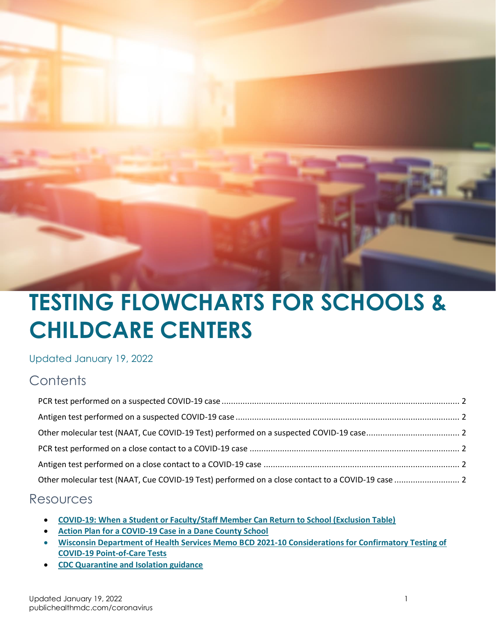

# **TESTING FLOWCHARTS FOR SCHOOLS & CHILDCARE CENTERS**

Updated January 19, 2022

#### **Contents**

#### Resources

- **[COVID-19: When a Student or Faculty/Staff Member Can Return to School \(Exclusion Table\)](https://www.publichealthmdc.com/documents/exclusion_table.pdf)**
- **[Action Plan for a COVID-19 Case in a Dane County School](https://publichealthmdc.com/documents/school_action_plan.pdf)**
- **[Wisconsin Department of Health Services Memo BCD 2021-10 Considerations for Confirmatory Testing of](https://www.dhs.wisconsin.gov/dph/memos/communicable-diseases/2021-10.pdf)  [COVID-19 Point-of-Care Tests](https://www.dhs.wisconsin.gov/dph/memos/communicable-diseases/2021-10.pdf)**
- **[CDC Quarantine and Isolation guidance](https://www.cdc.gov/coronavirus/2019-ncov/your-health/quarantine-isolation.html)**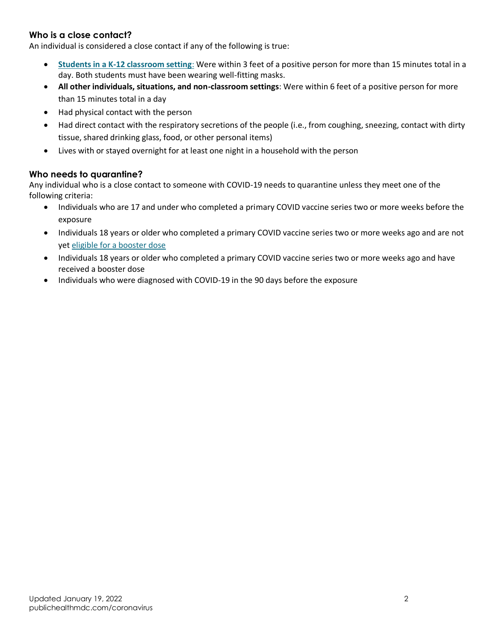#### **Who is a close contact?**

An individual is considered a close contact if any of the following is true:

- **[Students in a K-12 classroom setting](https://www.cdc.gov/coronavirus/2019-ncov/php/contact-tracing/contact-tracing-plan/appendix.html#contact)**: Were within 3 feet of a positive person for more than 15 minutes total in a day. Both students must have been wearing well-fitting masks.
- **All other individuals, situations, and non-classroom settings**: Were within 6 feet of a positive person for more than 15 minutes total in a day
- Had physical contact with the person
- Had direct contact with the respiratory secretions of the people (i.e., from coughing, sneezing, contact with dirty tissue, shared drinking glass, food, or other personal items)
- Lives with or stayed overnight for at least one night in a household with the person

#### **Who needs to quarantine?**

Any individual who is a close contact to someone with COVID-19 needs to quarantine unless they meet one of the following criteria:

- Individuals who are 17 and under who completed a primary COVID vaccine series two or more weeks before the exposure
- Individuals 18 years or older who completed a primary COVID vaccine series two or more weeks ago and are not ye[t eligible for a booster dose](https://www.cdc.gov/coronavirus/2019-ncov/vaccines/booster-shot.html)
- Individuals 18 years or older who completed a primary COVID vaccine series two or more weeks ago and have received a booster dose
- Individuals who were diagnosed with COVID-19 in the 90 days before the exposure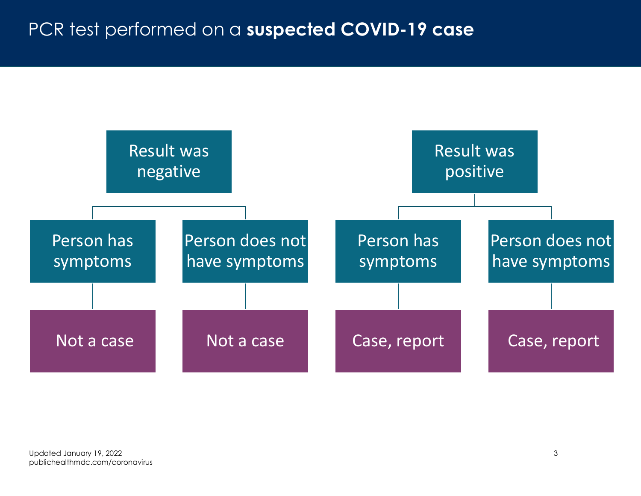### PCR test performed on a **suspected COVID-19 case**

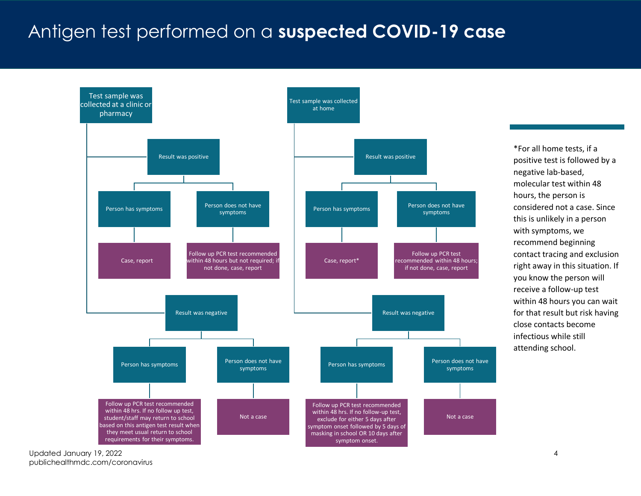#### Antigen test performed on a **suspected COVID-19 case**

<span id="page-3-0"></span>

\*For all home tests, if a positive test is followed by a negative lab-based, molecular test within 48 hours, the person is considered not a case. Since this is unlikely in a person with symptoms, we recommend beginning contact tracing and exclusion right away in this situation. If you know the person will receive a follow-up test within 48 hours you can wait for that result but risk having close contacts become infectious while still attending school.

Updated January 19, 2022 4 publichealthmdc.com/coronavirus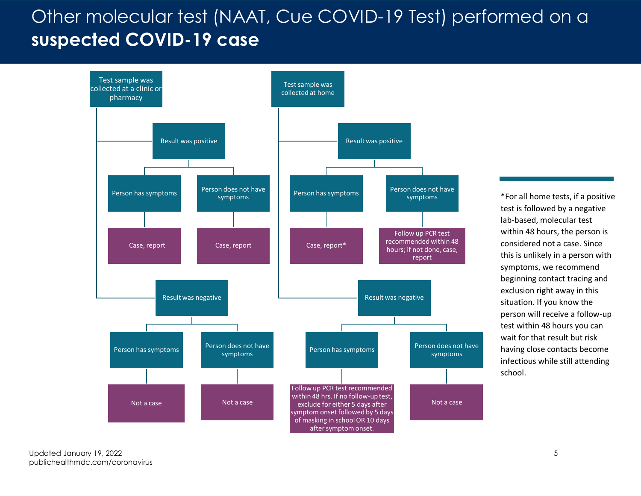# Other molecular test (NAAT, Cue COVID-19 Test) performed on a **suspected COVID-19 case**

<span id="page-4-0"></span>

\*For all home tests, if a positive test is followed by a negative lab-based, molecular test within 48 hours, the person is considered not a case. Since this is unlikely in a person with symptoms, we recommend beginning contact tracing and exclusion right away in this situation. If you know the person will receive a follow-up test within 48 hours you can wait for that result but risk having close contacts become infectious while still attending school.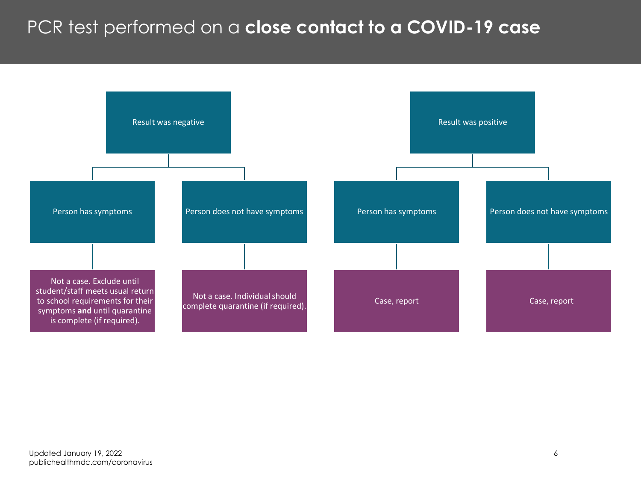### PCR test performed on a **close contact to a COVID-19 case**

<span id="page-5-0"></span>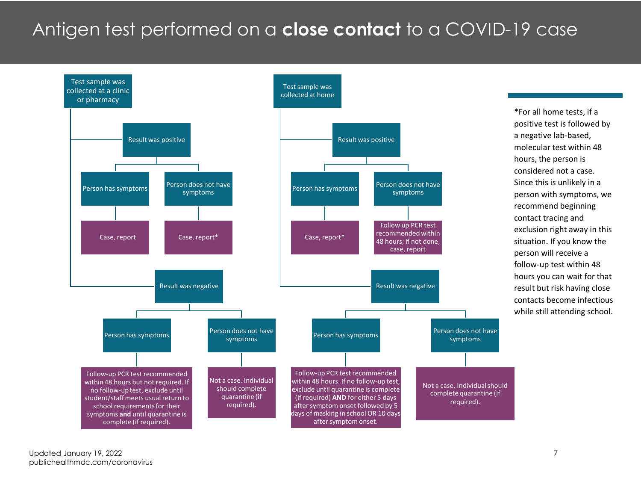#### Antigen test performed on a **close contact** to a COVID-19 case

<span id="page-6-0"></span>

\*For all home tests, if a positive test is followed by a negative lab-based, molecular test within 48 hours, the person is considered not a case. Since this is unlikely in a person with symptoms, we recommend beginning contact tracing and exclusion right away in this situation. If you know the person will receive a follow-up test within 48 hours you can wait for that result but risk having close contacts become infectious while still attending school.